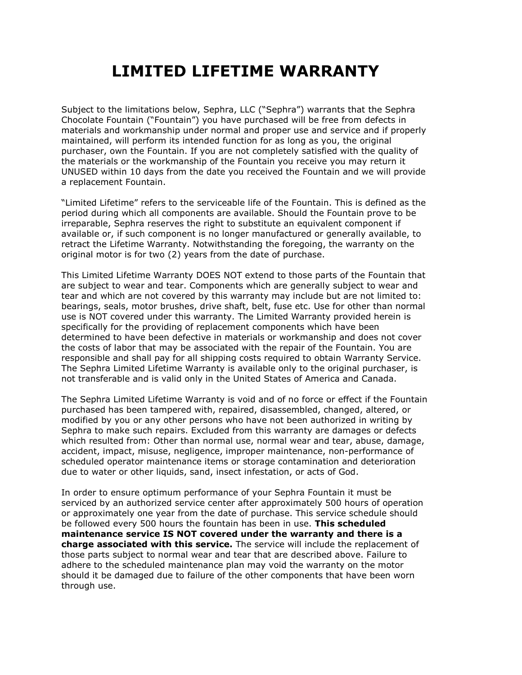## LIMITED LIFETIME WARRANTY

Subject to the limitations below, Sephra, LLC ("Sephra") warrants that the Sephra Chocolate Fountain ("Fountain") you have purchased will be free from defects in materials and workmanship under normal and proper use and service and if properly maintained, will perform its intended function for as long as you, the original purchaser, own the Fountain. If you are not completely satisfied with the quality of the materials or the workmanship of the Fountain you receive you may return it UNUSED within 10 days from the date you received the Fountain and we will provide a replacement Fountain.

"Limited Lifetime" refers to the serviceable life of the Fountain. This is defined as the period during which all components are available. Should the Fountain prove to be irreparable, Sephra reserves the right to substitute an equivalent component if available or, if such component is no longer manufactured or generally available, to retract the Lifetime Warranty. Notwithstanding the foregoing, the warranty on the original motor is for two (2) years from the date of purchase.

This Limited Lifetime Warranty DOES NOT extend to those parts of the Fountain that are subject to wear and tear. Components which are generally subject to wear and tear and which are not covered by this warranty may include but are not limited to: bearings, seals, motor brushes, drive shaft, belt, fuse etc. Use for other than normal use is NOT covered under this warranty. The Limited Warranty provided herein is specifically for the providing of replacement components which have been determined to have been defective in materials or workmanship and does not cover the costs of labor that may be associated with the repair of the Fountain. You are responsible and shall pay for all shipping costs required to obtain Warranty Service. The Sephra Limited Lifetime Warranty is available only to the original purchaser, is not transferable and is valid only in the United States of America and Canada.

The Sephra Limited Lifetime Warranty is void and of no force or effect if the Fountain purchased has been tampered with, repaired, disassembled, changed, altered, or modified by you or any other persons who have not been authorized in writing by Sephra to make such repairs. Excluded from this warranty are damages or defects which resulted from: Other than normal use, normal wear and tear, abuse, damage, accident, impact, misuse, negligence, improper maintenance, non-performance of scheduled operator maintenance items or storage contamination and deterioration due to water or other liquids, sand, insect infestation, or acts of God.

In order to ensure optimum performance of your Sephra Fountain it must be serviced by an authorized service center after approximately 500 hours of operation or approximately one year from the date of purchase. This service schedule should be followed every 500 hours the fountain has been in use. This scheduled maintenance service IS NOT covered under the warranty and there is a charge associated with this service. The service will include the replacement of those parts subject to normal wear and tear that are described above. Failure to adhere to the scheduled maintenance plan may void the warranty on the motor should it be damaged due to failure of the other components that have been worn through use.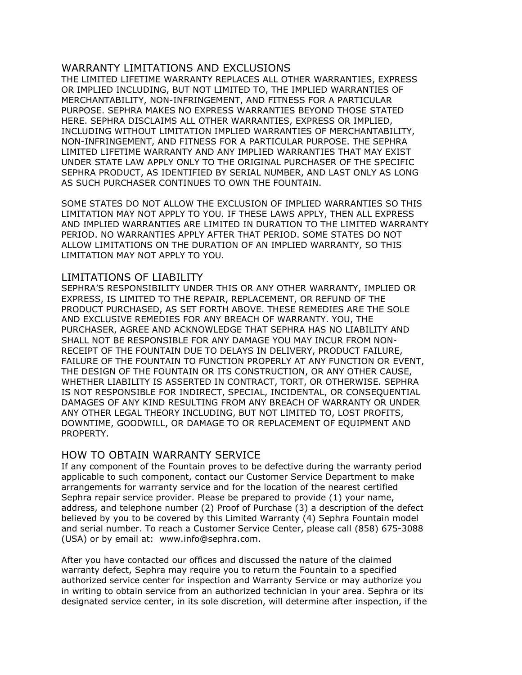## WARRANTY LIMITATIONS AND EXCLUSIONS

THE LIMITED LIFETIME WARRANTY REPLACES ALL OTHER WARRANTIES, EXPRESS OR IMPLIED INCLUDING, BUT NOT LIMITED TO, THE IMPLIED WARRANTIES OF MERCHANTABILITY, NON-INFRINGEMENT, AND FITNESS FOR A PARTICULAR PURPOSE. SEPHRA MAKES NO EXPRESS WARRANTIES BEYOND THOSE STATED HERE. SEPHRA DISCLAIMS ALL OTHER WARRANTIES, EXPRESS OR IMPLIED, INCLUDING WITHOUT LIMITATION IMPLIED WARRANTIES OF MERCHANTABILITY, NON-INFRINGEMENT, AND FITNESS FOR A PARTICULAR PURPOSE. THE SEPHRA LIMITED LIFETIME WARRANTY AND ANY IMPLIED WARRANTIES THAT MAY EXIST UNDER STATE LAW APPLY ONLY TO THE ORIGINAL PURCHASER OF THE SPECIFIC SEPHRA PRODUCT, AS IDENTIFIED BY SERIAL NUMBER, AND LAST ONLY AS LONG AS SUCH PURCHASER CONTINUES TO OWN THE FOUNTAIN.

SOME STATES DO NOT ALLOW THE EXCLUSION OF IMPLIED WARRANTIES SO THIS LIMITATION MAY NOT APPLY TO YOU. IF THESE LAWS APPLY, THEN ALL EXPRESS AND IMPLIED WARRANTIES ARE LIMITED IN DURATION TO THE LIMITED WARRANTY PERIOD. NO WARRANTIES APPLY AFTER THAT PERIOD. SOME STATES DO NOT ALLOW LIMITATIONS ON THE DURATION OF AN IMPLIED WARRANTY, SO THIS LIMITATION MAY NOT APPLY TO YOU.

## LIMITATIONS OF LIABILITY

SEPHRA'S RESPONSIBILITY UNDER THIS OR ANY OTHER WARRANTY, IMPLIED OR EXPRESS, IS LIMITED TO THE REPAIR, REPLACEMENT, OR REFUND OF THE PRODUCT PURCHASED, AS SET FORTH ABOVE. THESE REMEDIES ARE THE SOLE AND EXCLUSIVE REMEDIES FOR ANY BREACH OF WARRANTY. YOU, THE PURCHASER, AGREE AND ACKNOWLEDGE THAT SEPHRA HAS NO LIABILITY AND SHALL NOT BE RESPONSIBLE FOR ANY DAMAGE YOU MAY INCUR FROM NON-RECEIPT OF THE FOUNTAIN DUE TO DELAYS IN DELIVERY, PRODUCT FAILURE, FAILURE OF THE FOUNTAIN TO FUNCTION PROPERLY AT ANY FUNCTION OR EVENT, THE DESIGN OF THE FOUNTAIN OR ITS CONSTRUCTION, OR ANY OTHER CAUSE, WHETHER LIABILITY IS ASSERTED IN CONTRACT, TORT, OR OTHERWISE. SEPHRA IS NOT RESPONSIBLE FOR INDIRECT, SPECIAL, INCIDENTAL, OR CONSEQUENTIAL DAMAGES OF ANY KIND RESULTING FROM ANY BREACH OF WARRANTY OR UNDER ANY OTHER LEGAL THEORY INCLUDING, BUT NOT LIMITED TO, LOST PROFITS, DOWNTIME, GOODWILL, OR DAMAGE TO OR REPLACEMENT OF EQUIPMENT AND PROPERTY.

## HOW TO OBTAIN WARRANTY SERVICE

If any component of the Fountain proves to be defective during the warranty period applicable to such component, contact our Customer Service Department to make arrangements for warranty service and for the location of the nearest certified Sephra repair service provider. Please be prepared to provide (1) your name, address, and telephone number (2) Proof of Purchase (3) a description of the defect believed by you to be covered by this Limited Warranty (4) Sephra Fountain model and serial number. To reach a Customer Service Center, please call (858) 675-3088 (USA) or by email at: www.info@sephra.com.

After you have contacted our offices and discussed the nature of the claimed warranty defect, Sephra may require you to return the Fountain to a specified authorized service center for inspection and Warranty Service or may authorize you in writing to obtain service from an authorized technician in your area. Sephra or its designated service center, in its sole discretion, will determine after inspection, if the